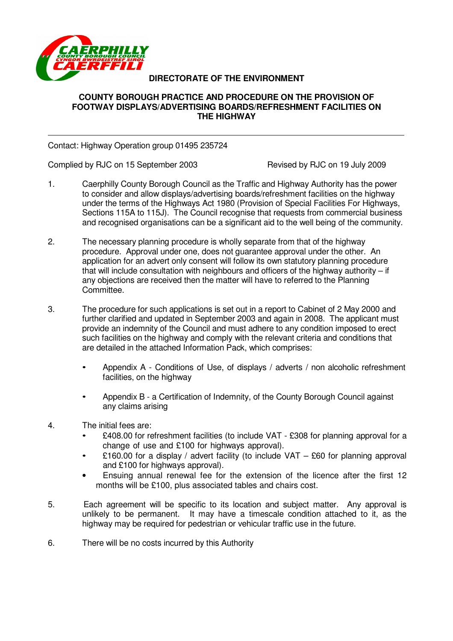

# **DIRECTORATE OF THE ENVIRONMENT**

#### **COUNTY BOROUGH PRACTICE AND PROCEDURE ON THE PROVISION OF FOOTWAY DISPLAYS/ADVERTISING BOARDS/REFRESHMENT FACILITIES ON THE HIGHWAY**

Contact: Highway Operation group 01495 235724

Complied by RJC on 15 September 2003 Revised by RJC on 19 July 2009

- 1. Caerphilly County Borough Council as the Traffic and Highway Authority has the power to consider and allow displays/advertising boards/refreshment facilities on the highway under the terms of the Highways Act 1980 (Provision of Special Facilities For Highways, Sections 115A to 115J). The Council recognise that requests from commercial business and recognised organisations can be a significant aid to the well being of the community.
- 2. The necessary planning procedure is wholly separate from that of the highway procedure. Approval under one, does not guarantee approval under the other. An application for an advert only consent will follow its own statutory planning procedure that will include consultation with neighbours and officers of the highway authority – if any objections are received then the matter will have to referred to the Planning Committee.
- 3. The procedure for such applications is set out in a report to Cabinet of 2 May 2000 and further clarified and updated in September 2003 and again in 2008. The applicant must provide an indemnity of the Council and must adhere to any condition imposed to erect such facilities on the highway and comply with the relevant criteria and conditions that are detailed in the attached Information Pack, which comprises:
	- Appendix A Conditions of Use, of displays / adverts / non alcoholic refreshment facilities, on the highway
	- Appendix B a Certification of Indemnity, of the County Borough Council against any claims arising
- 4. The initial fees are:
	- £408.00 for refreshment facilities (to include VAT £308 for planning approval for a change of use and £100 for highways approval).
	- £160.00 for a display / advert facility (to include VAT  $-$  £60 for planning approval and £100 for highways approval).
	- Ensuing annual renewal fee for the extension of the licence after the first 12 months will be £100, plus associated tables and chairs cost.
- 5. Each agreement will be specific to its location and subject matter. Any approval is unlikely to be permanent. It may have a timescale condition attached to it, as the highway may be required for pedestrian or vehicular traffic use in the future.
- 6. There will be no costs incurred by this Authority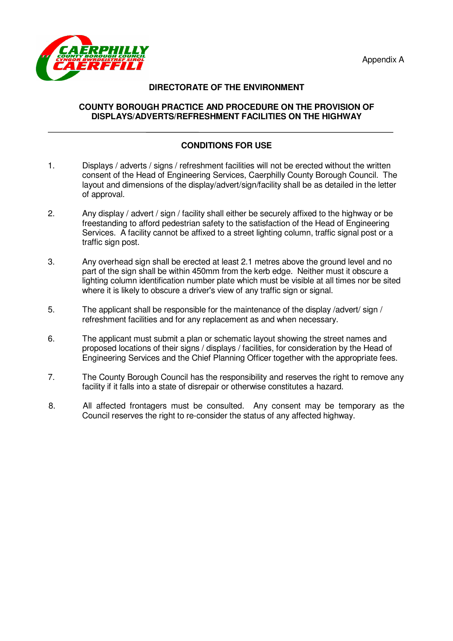

# **DIRECTORATE OF THE ENVIRONMENT**

#### **COUNTY BOROUGH PRACTICE AND PROCEDURE ON THE PROVISION OF DISPLAYS/ADVERTS/REFRESHMENT FACILITIES ON THE HIGHWAY**

# **CONDITIONS FOR USE**

- 1. Displays / adverts / signs / refreshment facilities will not be erected without the written consent of the Head of Engineering Services, Caerphilly County Borough Council. The layout and dimensions of the display/advert/sign/facility shall be as detailed in the letter of approval.
- 2. Any display / advert / sign / facility shall either be securely affixed to the highway or be freestanding to afford pedestrian safety to the satisfaction of the Head of Engineering Services. A facility cannot be affixed to a street lighting column, traffic signal post or a traffic sign post.
- 3. Any overhead sign shall be erected at least 2.1 metres above the ground level and no part of the sign shall be within 450mm from the kerb edge. Neither must it obscure a lighting column identification number plate which must be visible at all times nor be sited where it is likely to obscure a driver's view of any traffic sign or signal.
- 5. The applicant shall be responsible for the maintenance of the display /advert/ sign / refreshment facilities and for any replacement as and when necessary.
- 6. The applicant must submit a plan or schematic layout showing the street names and proposed locations of their signs / displays / facilities, for consideration by the Head of Engineering Services and the Chief Planning Officer together with the appropriate fees.
- 7. The County Borough Council has the responsibility and reserves the right to remove any facility if it falls into a state of disrepair or otherwise constitutes a hazard.
- 8. All affected frontagers must be consulted. Any consent may be temporary as the Council reserves the right to re-consider the status of any affected highway.